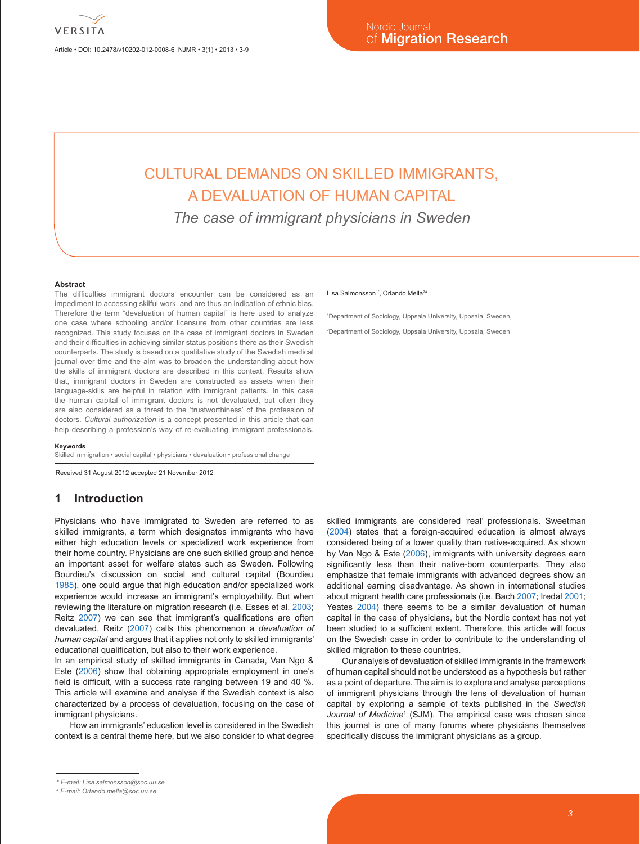Article • DOI: 10.2478/v10202-012-0008-6 NJMR • 3(1) • 2013 • 3-9

# CULTURAL DEMANDS ON SKILLED IMMIGRANTS, A DEVALUATION OF HUMAN CAPITAL

*The case of immigrant physicians in Sweden*

#### **Abstract**

The difficulties immigrant doctors encounter can be considered as an impediment to accessing skilful work, and are thus an indication of ethnic bias. Therefore the term "devaluation of human capital" is here used to analyze one case where schooling and/or licensure from other countries are less recognized. This study focuses on the case of immigrant doctors in Sweden and their difficulties in achieving similar status positions there as their Swedish counterparts. The study is based on a qualitative study of the Swedish medical journal over time and the aim was to broaden the understanding about how the skills of immigrant doctors are described in this context. Results show that, immigrant doctors in Sweden are constructed as assets when their language-skills are helpful in relation with immigrant patients. In this case the human capital of immigrant doctors is not devaluated, but often they are also considered as a threat to the 'trustworthiness' of the profession of doctors. *Cultural authorization* is a concept presented in this article that can help describing a profession's way of re-evaluating immigrant professionals.

#### **Keywords**

Skilled immigration • social capital • physicians • devaluation • professional change

Received 31 August 2012 accepted 21 November 2012

## **1 Introduction**

Physicians who have immigrated to Sweden are referred to as skilled immigrants, a term which designates immigrants who have either high education levels or specialized work experience from their home country. Physicians are one such skilled group and hence an important asset for welfare states such as Sweden. Following Bourdieu's discussion on social and cultural capital (Bourdieu 1985), one could argue that high education and/or specialized work experience would increase an immigrant's employability. But when reviewing the literature on migration research (i.e. Esses et al. 2003; Reitz 2007) we can see that immigrant's qualifications are often devaluated. Reitz (2007) calls this phenomenon a *devaluation of human capital* and argues that it applies not only to skilled immigrants' educational qualification, but also to their work experience.

In an empirical study of skilled immigrants in Canada, Van Ngo & Este (2006) show that obtaining appropriate employment in one's field is difficult, with a success rate ranging between 19 and 40 %. This article will examine and analyse if the Swedish context is also characterized by a process of devaluation, focusing on the case of immigrant physicians.

How an immigrants' education level is considered in the Swedish context is a central theme here, but we also consider to what degree

#### Lisa Salmonsson<sup>1\*</sup>, Orlando Mella<sup>2</sup>

1 Department of Sociology, Uppsala University, Uppsala, Sweden, 2 Department of Sociology, Uppsala University, Uppsala, Sweden

skilled immigrants are considered 'real' professionals. Sweetman (2004) states that a foreign-acquired education is almost always considered being of a lower quality than native-acquired. As shown by Van Ngo & Este (2006), immigrants with university degrees earn significantly less than their native-born counterparts. They also emphasize that female immigrants with advanced degrees show an additional earning disadvantage. As shown in international studies about migrant health care professionals (i.e. Bach 2007; Iredal 2001; Yeates 2004) there seems to be a similar devaluation of human capital in the case of physicians, but the Nordic context has not yet been studied to a sufficient extent. Therefore, this article will focus on the Swedish case in order to contribute to the understanding of skilled migration to these countries.

Our analysis of devaluation of skilled immigrants in the framework of human capital should not be understood as a hypothesis but rather as a point of departure. The aim is to explore and analyse perceptions of immigrant physicians through the lens of devaluation of human capital by exploring a sample of texts published in the *Swedish*  Journal of Medicine<sup>1</sup> (SJM). The empirical case was chosen since this journal is one of many forums where physicians themselves specifically discuss the immigrant physicians as a group.

*<sup>\*</sup> E-mail: Lisa.salmonsson@soc.uu.se*

*<sup>#</sup> E-mail: Orlando.mella@soc.uu.se*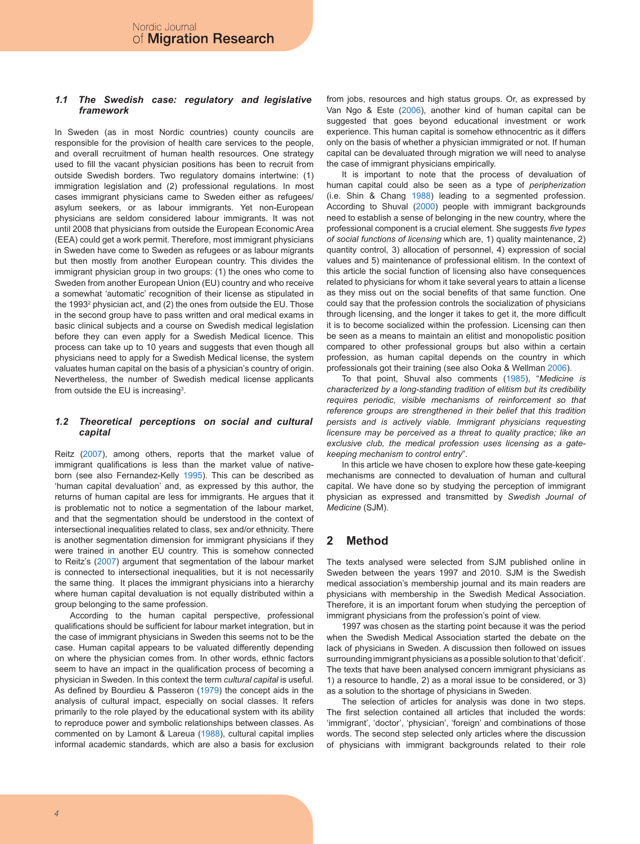## *1.1 The Swedish case: regulatory and legislative framework*

In Sweden (as in most Nordic countries) county councils are responsible for the provision of health care services to the people, and overall recruitment of human health resources. One strategy used to fill the vacant physician positions has been to recruit from outside Swedish borders. Two regulatory domains intertwine: (1) immigration legislation and (2) professional regulations. In most cases immigrant physicians came to Sweden either as refugees/ asylum seekers, or as labour immigrants. Yet non-European physicians are seldom considered labour immigrants. It was not until 2008 that physicians from outside the European Economic Area (EEA) could get a work permit. Therefore, most immigrant physicians in Sweden have come to Sweden as refugees or as labour migrants but then mostly from another European country. This divides the immigrant physician group in two groups: (1) the ones who come to Sweden from another European Union (EU) country and who receive a somewhat 'automatic' recognition of their license as stipulated in the 1993 $^2$  physician act, and (2) the ones from outside the EU. Those in the second group have to pass written and oral medical exams in basic clinical subjects and a course on Swedish medical legislation before they can even apply for a Swedish Medical licence. This process can take up to 10 years and suggests that even though all physicians need to apply for a Swedish Medical license, the system valuates human capital on the basis of a physician's country of origin. Nevertheless, the number of Swedish medical license applicants from outside the EU is increasing $^3$ .

## *1.2 Theoretical perceptions on social and cultural capital*

Reitz (2007), among others, reports that the market value of immigrant qualifications is less than the market value of nativeborn (see also Fernandez-Kelly 1995). This can be described as 'human capital devaluation' and, as expressed by this author, the returns of human capital are less for immigrants. He argues that it is problematic not to notice a segmentation of the labour market, and that the segmentation should be understood in the context of intersectional inequalities related to class, sex and/or ethnicity. There is another segmentation dimension for immigrant physicians if they were trained in another EU country. This is somehow connected to Reitz's (2007) argument that segmentation of the labour market is connected to intersectional inequalities, but it is not necessarily the same thing. It places the immigrant physicians into a hierarchy where human capital devaluation is not equally distributed within a group belonging to the same profession.

According to the human capital perspective, professional qualifications should be sufficient for labour market integration, but in the case of immigrant physicians in Sweden this seems not to be the case. Human capital appears to be valuated differently depending on where the physician comes from. In other words, ethnic factors seem to have an impact in the qualification process of becoming a physician in Sweden. In this context the term *cultural capital* is useful*.*  As defined by Bourdieu & Passeron (1979) the concept aids in the analysis of cultural impact, especially on social classes. It refers primarily to the role played by the educational system with its ability to reproduce power and symbolic relationships between classes. As commented on by Lamont & Lareua (1988), cultural capital implies informal academic standards, which are also a basis for exclusion

from jobs, resources and high status groups. Or, as expressed by Van Ngo & Este (2006), another kind of human capital can be suggested that goes beyond educational investment or work experience. This human capital is somehow ethnocentric as it differs only on the basis of whether a physician immigrated or not. If human capital can be devaluated through migration we will need to analyse the case of immigrant physicians empirically.

It is important to note that the process of devaluation of human capital could also be seen as a type of *peripherization* (i.e. Shin & Chang 1988) leading to a segmented profession. According to Shuval (2000) people with immigrant backgrounds need to establish a sense of belonging in the new country, where the professional component is a crucial element. She suggests *five types of social functions of licensing* which are, 1) quality maintenance, 2) quantity control, 3) allocation of personnel, 4) expression of social values and 5) maintenance of professional elitism. In the context of this article the social function of licensing also have consequences related to physicians for whom it take several years to attain a license as they miss out on the social benefits of that same function. One could say that the profession controls the socialization of physicians through licensing, and the longer it takes to get it, the more difficult it is to become socialized within the profession. Licensing can then be seen as a means to maintain an elitist and monopolistic position compared to other professional groups but also within a certain profession, as human capital depends on the country in which professionals got their training (see also Ooka & Wellman 2006).

To that point, Shuval also comments (1985), "*Medicine is characterized by a long-standing tradition of elitism but its credibility requires periodic, visible mechanisms of reinforcement so that reference groups are strengthened in their belief that this tradition persists and is actively viable. Immigrant physicians requesting licensure may be perceived as a threat to quality practice; like an exclusive club, the medical profession uses licensing as a gatekeeping mechanism to control entry*".

In this article we have chosen to explore how these gate-keeping mechanisms are connected to devaluation of human and cultural capital. We have done so by studying the perception of immigrant physician as expressed and transmitted by *Swedish Journal of Medicine* (SJM).

# **2 Method**

The texts analysed were selected from SJM published online in Sweden between the years 1997 and 2010. SJM is the Swedish medical association's membership journal and its main readers are physicians with membership in the Swedish Medical Association. Therefore, it is an important forum when studying the perception of immigrant physicians from the profession's point of view.

1997 was chosen as the starting point because it was the period when the Swedish Medical Association started the debate on the lack of physicians in Sweden. A discussion then followed on issues surrounding immigrant physicians as a possible solution to that 'deficit'. The texts that have been analysed concern immigrant physicians as 1) a resource to handle, 2) as a moral issue to be considered, or 3) as a solution to the shortage of physicians in Sweden.

The selection of articles for analysis was done in two steps. The first selection contained all articles that included the words: 'immigrant', 'doctor', 'physician', 'foreign' and combinations of those words. The second step selected only articles where the discussion of physicians with immigrant backgrounds related to their role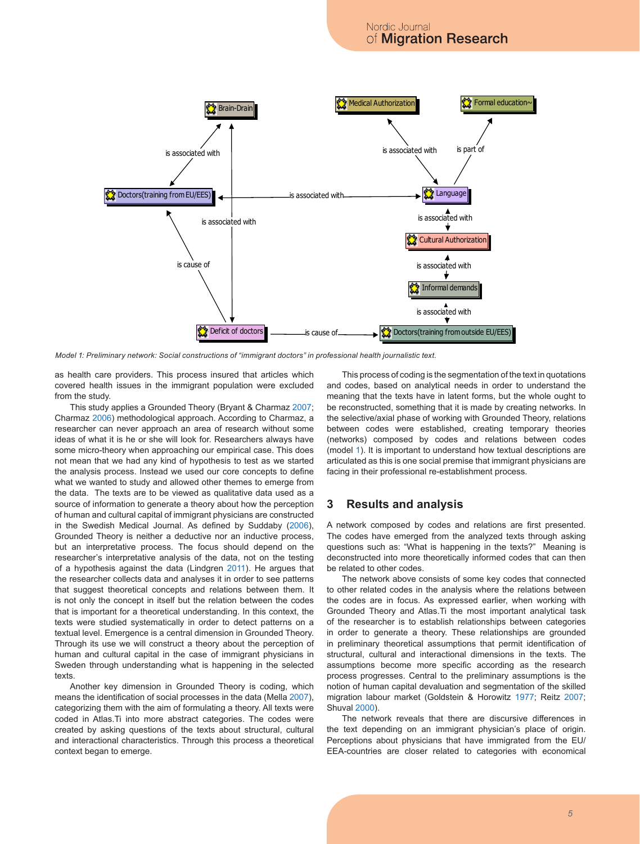

*Model 1: Preliminary network: Social constructions of "immigrant doctors" in professional health journalistic text.*

as health care providers. This process insured that articles which covered health issues in the immigrant population were excluded from the study.

This study applies a Grounded Theory (Bryant & Charmaz 2007; Charmaz 2006) methodological approach. According to Charmaz, a researcher can never approach an area of research without some ideas of what it is he or she will look for. Researchers always have some micro-theory when approaching our empirical case. This does not mean that we had any kind of hypothesis to test as we started the analysis process. Instead we used our core concepts to define what we wanted to study and allowed other themes to emerge from the data. The texts are to be viewed as qualitative data used as a source of information to generate a theory about how the perception of human and cultural capital of immigrant physicians are constructed in the Swedish Medical Journal. As defined by Suddaby (2006), Grounded Theory is neither a deductive nor an inductive process, but an interpretative process. The focus should depend on the researcher's interpretative analysis of the data, not on the testing of a hypothesis against the data (Lindgren 2011). He argues that the researcher collects data and analyses it in order to see patterns that suggest theoretical concepts and relations between them. It is not only the concept in itself but the relation between the codes that is important for a theoretical understanding. In this context, the texts were studied systematically in order to detect patterns on a textual level. Emergence is a central dimension in Grounded Theory. Through its use we will construct a theory about the perception of human and cultural capital in the case of immigrant physicians in Sweden through understanding what is happening in the selected texts.

Another key dimension in Grounded Theory is coding, which means the identification of social processes in the data (Mella 2007), categorizing them with the aim of formulating a theory. All texts were coded in Atlas.Ti into more abstract categories. The codes were created by asking questions of the texts about structural, cultural and interactional characteristics. Through this process a theoretical context began to emerge.

This process of coding is the segmentation of the text in quotations and codes, based on analytical needs in order to understand the meaning that the texts have in latent forms, but the whole ought to be reconstructed, something that it is made by creating networks. In the selective/axial phase of working with Grounded Theory, relations between codes were established, creating temporary theories (networks) composed by codes and relations between codes (model 1). It is important to understand how textual descriptions are articulated as this is one social premise that immigrant physicians are facing in their professional re-establishment process.

# **3 Results and analysis**

A network composed by codes and relations are first presented. The codes have emerged from the analyzed texts through asking questions such as: "What is happening in the texts?" Meaning is deconstructed into more theoretically informed codes that can then be related to other codes.

The network above consists of some key codes that connected to other related codes in the analysis where the relations between the codes are in focus. As expressed earlier, when working with Grounded Theory and Atlas.Ti the most important analytical task of the researcher is to establish relationships between categories in order to generate a theory. These relationships are grounded in preliminary theoretical assumptions that permit identification of structural, cultural and interactional dimensions in the texts. The assumptions become more specific according as the research process progresses. Central to the preliminary assumptions is the notion of human capital devaluation and segmentation of the skilled migration labour market (Goldstein & Horowitz 1977; Reitz 2007; Shuval 2000).

The network reveals that there are discursive differences in the text depending on an immigrant physician's place of origin. Perceptions about physicians that have immigrated from the EU/ EEA-countries are closer related to categories with economical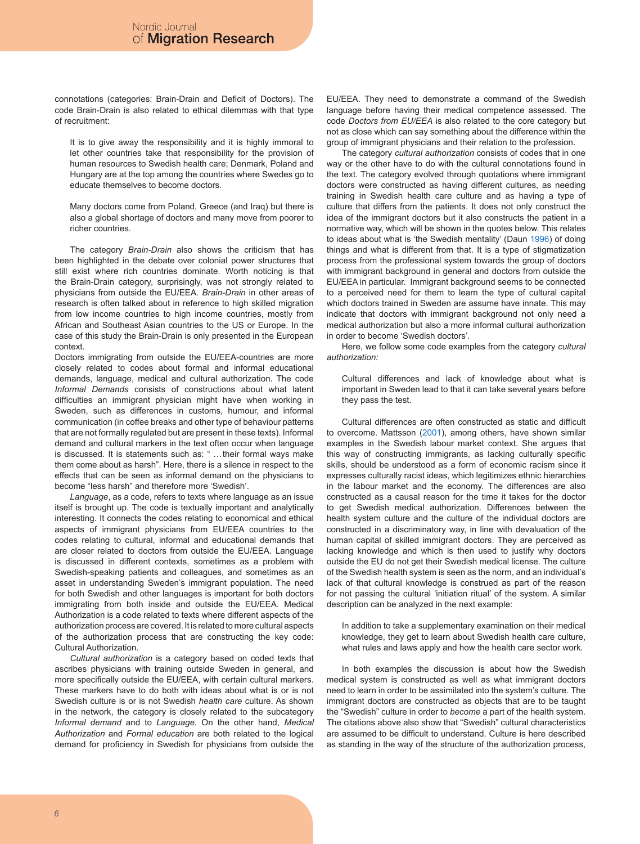connotations (categories: Brain-Drain and Deficit of Doctors). The code Brain-Drain is also related to ethical dilemmas with that type of recruitment:

It is to give away the responsibility and it is highly immoral to let other countries take that responsibility for the provision of human resources to Swedish health care; Denmark, Poland and Hungary are at the top among the countries where Swedes go to educate themselves to become doctors.

Many doctors come from Poland, Greece (and Iraq) but there is also a global shortage of doctors and many move from poorer to richer countries.

The category *Brain-Drain* also shows the criticism that has been highlighted in the debate over colonial power structures that still exist where rich countries dominate. Worth noticing is that the Brain-Drain category, surprisingly, was not strongly related to physicians from outside the EU/EEA. *Brain-Drain* in other areas of research is often talked about in reference to high skilled migration from low income countries to high income countries, mostly from African and Southeast Asian countries to the US or Europe. In the case of this study the Brain-Drain is only presented in the European context.

Doctors immigrating from outside the EU/EEA-countries are more closely related to codes about formal and informal educational demands, language, medical and cultural authorization. The code *Informal Demands* consists of constructions about what latent difficulties an immigrant physician might have when working in Sweden, such as differences in customs, humour, and informal communication (in coffee breaks and other type of behaviour patterns that are not formally regulated but are present in these texts). Informal demand and cultural markers in the text often occur when language is discussed. It is statements such as: " …their formal ways make them come about as harsh". Here, there is a silence in respect to the effects that can be seen as informal demand on the physicians to become "less harsh" and therefore more 'Swedish'.

*Language*, as a code, refers to texts where language as an issue itself is brought up. The code is textually important and analytically interesting. It connects the codes relating to economical and ethical aspects of immigrant physicians from EU/EEA countries to the codes relating to cultural, informal and educational demands that are closer related to doctors from outside the EU/EEA. Language is discussed in different contexts, sometimes as a problem with Swedish-speaking patients and colleagues, and sometimes as an asset in understanding Sweden's immigrant population. The need for both Swedish and other languages is important for both doctors immigrating from both inside and outside the EU/EEA. Medical Authorization is a code related to texts where different aspects of the authorization process are covered. It is related to more cultural aspects of the authorization process that are constructing the key code: Cultural Authorization.

*Cultural authorization* is a category based on coded texts that ascribes physicians with training outside Sweden in general, and more specifically outside the EU/EEA, with certain cultural markers. These markers have to do both with ideas about what is or is not Swedish culture is or is not Swedish *health care* culture. As shown in the network, the category is closely related to the subcategory *Informal demand* and to *Language.* On the other hand, *Medical Authorization* and *Formal education* are both related to the logical demand for proficiency in Swedish for physicians from outside the

EU/EEA. They need to demonstrate a command of the Swedish language before having their medical competence assessed. The code *Doctors from EU/EEA* is also related to the core category but not as close which can say something about the difference within the group of immigrant physicians and their relation to the profession.

The category *cultural authorization* consists of codes that in one way or the other have to do with the cultural connotations found in the text. The category evolved through quotations where immigrant doctors were constructed as having different cultures, as needing training in Swedish health care culture and as having a type of culture that differs from the patients. It does not only construct the idea of the immigrant doctors but it also constructs the patient in a normative way, which will be shown in the quotes below. This relates to ideas about what is 'the Swedish mentality' (Daun 1996) of doing things and what is different from that. It is a type of stigmatization process from the professional system towards the group of doctors with immigrant background in general and doctors from outside the EU/EEA in particular. Immigrant background seems to be connected to a perceived need for them to learn the type of cultural capital which doctors trained in Sweden are assume have innate. This may indicate that doctors with immigrant background not only need a medical authorization but also a more informal cultural authorization in order to become 'Swedish doctors'.

Here, we follow some code examples from the category *cultural authorization:*

Cultural differences and lack of knowledge about what is important in Sweden lead to that it can take several years before they pass the test.

Cultural differences are often constructed as static and difficult to overcome. Mattsson (2001), among others, have shown similar examples in the Swedish labour market context. She argues that this way of constructing immigrants, as lacking culturally specific skills, should be understood as a form of economic racism since it expresses culturally racist ideas, which legitimizes ethnic hierarchies in the labour market and the economy. The differences are also constructed as a causal reason for the time it takes for the doctor to get Swedish medical authorization. Differences between the health system culture and the culture of the individual doctors are constructed in a discriminatory way, in line with devaluation of the human capital of skilled immigrant doctors. They are perceived as lacking knowledge and which is then used to justify why doctors outside the EU do not get their Swedish medical license. The culture of the Swedish health system is seen as the norm, and an individual's lack of that cultural knowledge is construed as part of the reason for not passing the cultural 'initiation ritual' of the system. A similar description can be analyzed in the next example:

In addition to take a supplementary examination on their medical knowledge, they get to learn about Swedish health care culture, what rules and laws apply and how the health care sector work*.*

In both examples the discussion is about how the Swedish medical system is constructed as well as what immigrant doctors need to learn in order to be assimilated into the system's culture. The immigrant doctors are constructed as objects that are to be taught the "Swedish" culture in order to *become* a part of the health system. The citations above also show that "Swedish" cultural characteristics are assumed to be difficult to understand. Culture is here described as standing in the way of the structure of the authorization process,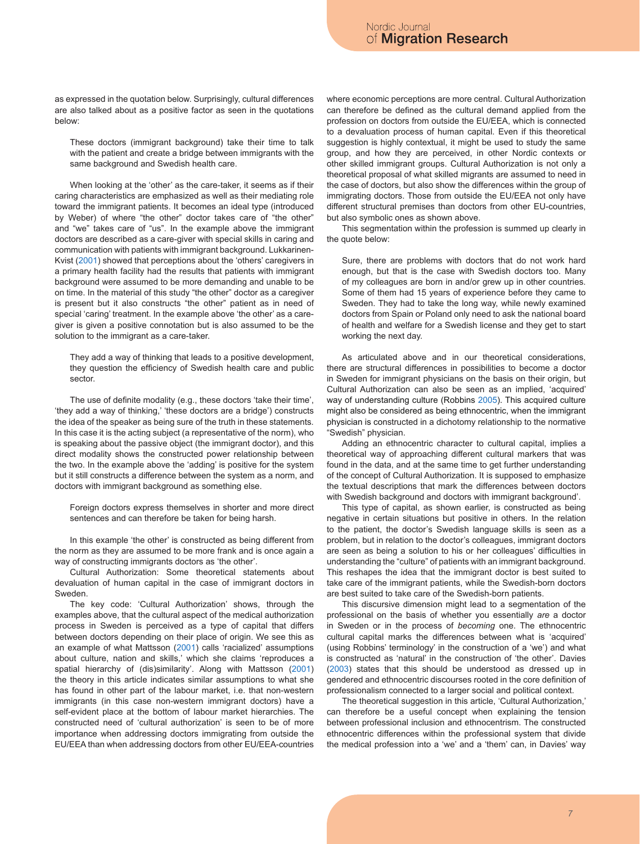as expressed in the quotation below. Surprisingly, cultural differences are also talked about as a positive factor as seen in the quotations below:

These doctors (immigrant background) take their time to talk with the patient and create a bridge between immigrants with the same background and Swedish health care.

When looking at the 'other' as the care-taker, it seems as if their caring characteristics are emphasized as well as their mediating role toward the immigrant patients. It becomes an ideal type (introduced by Weber) of where "the other" doctor takes care of "the other" and "we" takes care of "us". In the example above the immigrant doctors are described as a care-giver with special skills in caring and communication with patients with immigrant background. Lukkarinen-Kvist (2001) showed that perceptions about the 'others' caregivers in a primary health facility had the results that patients with immigrant background were assumed to be more demanding and unable to be on time. In the material of this study "the other" doctor as a caregiver is present but it also constructs "the other" patient as in need of special 'caring' treatment. In the example above 'the other' as a caregiver is given a positive connotation but is also assumed to be the solution to the immigrant as a care-taker.

They add a way of thinking that leads to a positive development, they question the efficiency of Swedish health care and public sector.

The use of definite modality (e.g., these doctors 'take their time', 'they add a way of thinking,' 'these doctors are a bridge') constructs the idea of the speaker as being sure of the truth in these statements*.* In this case it is the acting subject (a representative of the norm), who is speaking about the passive object (the immigrant doctor), and this direct modality shows the constructed power relationship between the two. In the example above the 'adding' is positive for the system but it still constructs a difference between the system as a norm, and doctors with immigrant background as something else.

Foreign doctors express themselves in shorter and more direct sentences and can therefore be taken for being harsh.

In this example 'the other' is constructed as being different from the norm as they are assumed to be more frank and is once again a way of constructing immigrants doctors as 'the other'.

Cultural Authorization: Some theoretical statements about devaluation of human capital in the case of immigrant doctors in Sweden.

The key code: 'Cultural Authorization' shows, through the examples above, that the cultural aspect of the medical authorization process in Sweden is perceived as a type of capital that differs between doctors depending on their place of origin. We see this as an example of what Mattsson (2001) calls 'racialized' assumptions about culture, nation and skills,' which she claims 'reproduces a spatial hierarchy of (dis)similarity'. Along with Mattsson (2001) the theory in this article indicates similar assumptions to what she has found in other part of the labour market, i.e. that non-western immigrants (in this case non-western immigrant doctors) have a self-evident place at the bottom of labour market hierarchies. The constructed need of 'cultural authorization' is seen to be of more importance when addressing doctors immigrating from outside the EU/EEA than when addressing doctors from other EU/EEA-countries

where economic perceptions are more central. Cultural Authorization can therefore be defined as the cultural demand applied from the profession on doctors from outside the EU/EEA, which is connected to a devaluation process of human capital. Even if this theoretical suggestion is highly contextual, it might be used to study the same group, and how they are perceived, in other Nordic contexts or other skilled immigrant groups. Cultural Authorization is not only a theoretical proposal of what skilled migrants are assumed to need in the case of doctors, but also show the differences within the group of immigrating doctors. Those from outside the EU/EEA not only have different structural premises than doctors from other EU-countries, but also symbolic ones as shown above.

This segmentation within the profession is summed up clearly in the quote below:

Sure, there are problems with doctors that do not work hard enough, but that is the case with Swedish doctors too. Many of my colleagues are born in and/or grew up in other countries. Some of them had 15 years of experience before they came to Sweden. They had to take the long way, while newly examined doctors from Spain or Poland only need to ask the national board of health and welfare for a Swedish license and they get to start working the next day.

As articulated above and in our theoretical considerations, there are structural differences in possibilities to become a doctor in Sweden for immigrant physicians on the basis on their origin, but Cultural Authorization can also be seen as an implied, 'acquired' way of understanding culture (Robbins 2005). This acquired culture might also be considered as being ethnocentric, when the immigrant physician is constructed in a dichotomy relationship to the normative "Swedish" physician.

Adding an ethnocentric character to cultural capital, implies a theoretical way of approaching different cultural markers that was found in the data, and at the same time to get further understanding of the concept of Cultural Authorization. It is supposed to emphasize the textual descriptions that mark the differences between doctors with Swedish background and doctors with immigrant background'.

This type of capital, as shown earlier, is constructed as being negative in certain situations but positive in others. In the relation to the patient, the doctor's Swedish language skills is seen as a problem, but in relation to the doctor's colleagues, immigrant doctors are seen as being a solution to his or her colleagues' difficulties in understanding the "culture" of patients with an immigrant background. This reshapes the idea that the immigrant doctor is best suited to take care of the immigrant patients, while the Swedish-born doctors are best suited to take care of the Swedish-born patients.

This discursive dimension might lead to a segmentation of the professional on the basis of whether you essentially *are* a doctor in Sweden or in the process of *becoming* one. The ethnocentric cultural capital marks the differences between what is 'acquired' (using Robbins' terminology' in the construction of a 'we') and what is constructed as 'natural' in the construction of 'the other'. Davies (2003) states that this should be understood as dressed up in gendered and ethnocentric discourses rooted in the core definition of professionalism connected to a larger social and political context.

The theoretical suggestion in this article, 'Cultural Authorization,' can therefore be a useful concept when explaining the tension between professional inclusion and ethnocentrism. The constructed ethnocentric differences within the professional system that divide the medical profession into a 'we' and a 'them' can, in Davies' way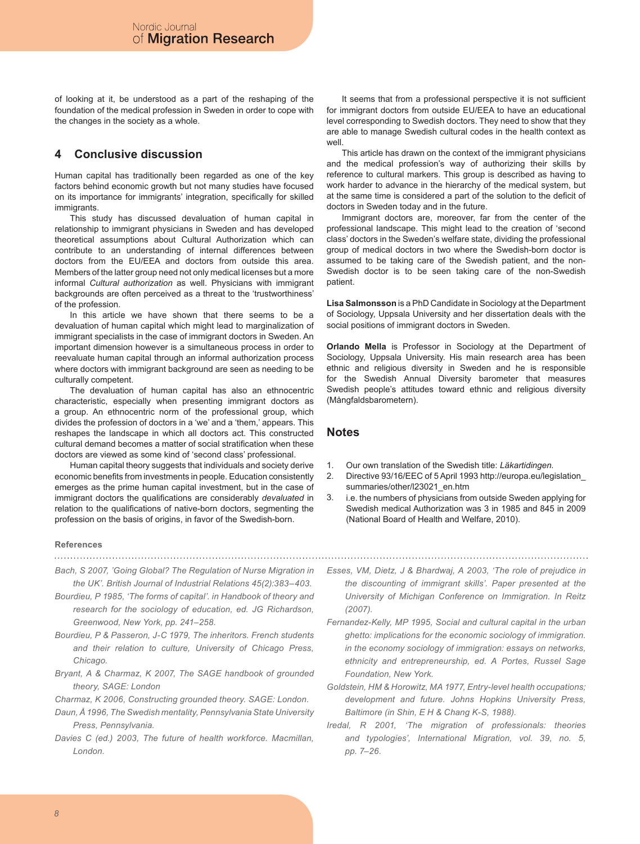of looking at it, be understood as a part of the reshaping of the foundation of the medical profession in Sweden in order to cope with the changes in the society as a whole.

# **4 Conclusive discussion**

Human capital has traditionally been regarded as one of the key factors behind economic growth but not many studies have focused on its importance for immigrants' integration, specifically for skilled immigrants.

This study has discussed devaluation of human capital in relationship to immigrant physicians in Sweden and has developed theoretical assumptions about Cultural Authorization which can contribute to an understanding of internal differences between doctors from the EU/EEA and doctors from outside this area. Members of the latter group need not only medical licenses but a more informal *Cultural authorization* as well. Physicians with immigrant backgrounds are often perceived as a threat to the 'trustworthiness' of the profession.

In this article we have shown that there seems to be a devaluation of human capital which might lead to marginalization of immigrant specialists in the case of immigrant doctors in Sweden. An important dimension however is a simultaneous process in order to reevaluate human capital through an informal authorization process where doctors with immigrant background are seen as needing to be culturally competent.

The devaluation of human capital has also an ethnocentric characteristic, especially when presenting immigrant doctors as a group. An ethnocentric norm of the professional group, which divides the profession of doctors in a 'we' and a 'them,' appears. This reshapes the landscape in which all doctors act. This constructed cultural demand becomes a matter of social stratification when these doctors are viewed as some kind of 'second class' professional.

Human capital theory suggests that individuals and society derive economic benefits from investments in people. Education consistently emerges as the prime human capital investment, but in the case of immigrant doctors the qualifications are considerably *devaluated* in relation to the qualifications of native-born doctors, segmenting the profession on the basis of origins, in favor of the Swedish-born.

## **References**

- *Bach, S 2007, 'Going Global? The Regulation of Nurse Migration in the UK'. British Journal of Industrial Relations 45(2):383–403.*
- *Bourdieu, P 1985, 'The forms of capital'. in Handbook of theory and research for the sociology of education, ed. JG Richardson, Greenwood, New York, pp. 241–258.*
- *Bourdieu, P & Passeron, J-C 1979, The inheritors. French students and their relation to culture, University of Chicago Press, Chicago.*
- *Bryant, A & Charmaz, K 2007, The SAGE handbook of grounded theory, SAGE: London*
- *Charmaz, K 2006, Constructing grounded theory. SAGE: London.*
- *Daun, Å 1996, The Swedish mentality, Pennsylvania State University Press, Pennsylvania.*
- *Davies C (ed.) 2003, The future of health workforce. Macmillan, London.*

It seems that from a professional perspective it is not sufficient for immigrant doctors from outside EU/EEA to have an educational level corresponding to Swedish doctors. They need to show that they are able to manage Swedish cultural codes in the health context as well.

This article has drawn on the context of the immigrant physicians and the medical profession's way of authorizing their skills by reference to cultural markers. This group is described as having to work harder to advance in the hierarchy of the medical system, but at the same time is considered a part of the solution to the deficit of doctors in Sweden today and in the future.

Immigrant doctors are, moreover, far from the center of the professional landscape. This might lead to the creation of 'second class' doctors in the Sweden's welfare state, dividing the professional group of medical doctors in two where the Swedish-born doctor is assumed to be taking care of the Swedish patient, and the non-Swedish doctor is to be seen taking care of the non-Swedish patient.

**Lisa Salmonsson** is a PhD Candidate in Sociology at the Department of Sociology, Uppsala University and her dissertation deals with the social positions of immigrant doctors in Sweden.

**Orlando Mella** is Professor in Sociology at the Department of Sociology, Uppsala University. His main research area has been ethnic and religious diversity in Sweden and he is responsible for the Swedish Annual Diversity barometer that measures Swedish people's attitudes toward ethnic and religious diversity (Mångfaldsbarometern).

# **Notes**

- Our own translation of the Swedish title: *Läkartidingen.* 1.
- Directive 93/16/EEC of 5 April 1993 http://europa.eu/legislation\_ summaries/other/l23021\_en.htm 2.
- i.e. the numbers of physicians from outside Sweden applying for Swedish medical Authorization was 3 in 1985 and 845 in 2009 (National Board of Health and Welfare, 2010). 3.
- *Esses, VM, Dietz, J & Bhardwaj, A 2003, 'The role of prejudice in the discounting of immigrant skills'. Paper presented at the University of Michigan Conference on Immigration. In Reitz (2007).*

- *Fernandez-Kelly, MP 1995, Social and cultural capital in the urban ghetto: implications for the economic sociology of immigration. in the economy sociology of immigration: essays on networks, ethnicity and entrepreneurship, ed. A Portes, Russel Sage Foundation, New York.*
- *Goldstein, HM & Horowitz, MA 1977, Entry-level health occupations; development and future. Johns Hopkins University Press, Baltimore (in Shin, E H & Chang K-S, 1988).*
- *Iredal, R 2001, 'The migration of professionals: theories and typologies', International Migration, vol. 39, no. 5, pp. 7–26.*